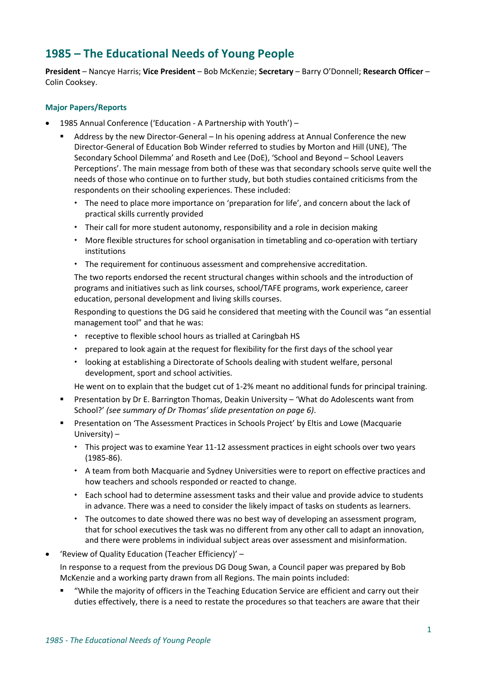# **1985 – The Educational Needs of Young People**

**President** – Nancye Harris; **Vice President** – Bob McKenzie; **Secretary** – Barry O'Donnell; **Research Officer** – Colin Cooksey.

# **Major Papers/Reports**

- 1985 Annual Conference ('Education A Partnership with Youth')
	- Address by the new Director-General In his opening address at Annual Conference the new Director-General of Education Bob Winder referred to studies by Morton and Hill (UNE), 'The Secondary School Dilemma' and Roseth and Lee (DoE), 'School and Beyond – School Leavers Perceptions'. The main message from both of these was that secondary schools serve quite well the needs of those who continue on to further study, but both studies contained criticisms from the respondents on their schooling experiences. These included:
		- The need to place more importance on 'preparation for life', and concern about the lack of practical skills currently provided
		- Their call for more student autonomy, responsibility and a role in decision making
		- More flexible structures for school organisation in timetabling and co-operation with tertiary institutions
		- The requirement for continuous assessment and comprehensive accreditation.

The two reports endorsed the recent structural changes within schools and the introduction of programs and initiatives such as link courses, school/TAFE programs, work experience, career education, personal development and living skills courses.

Responding to questions the DG said he considered that meeting with the Council was "an essential management tool" and that he was:

- \* receptive to flexible school hours as trialled at Caringbah HS
- prepared to look again at the request for flexibility for the first days of the school year
- looking at establishing a Directorate of Schools dealing with student welfare, personal development, sport and school activities.

He went on to explain that the budget cut of 1-2% meant no additional funds for principal training.

- Presentation by Dr E. Barrington Thomas, Deakin University 'What do Adolescents want from School?' *(see summary of Dr Thomas' slide presentation on page 6)*.
- **•** Presentation on 'The Assessment Practices in Schools Project' by Eltis and Lowe (Macquarie University) –
	- \* This project was to examine Year 11-12 assessment practices in eight schools over two years (1985-86).
	- \* A team from both Macquarie and Sydney Universities were to report on effective practices and how teachers and schools responded or reacted to change.
	- Each school had to determine assessment tasks and their value and provide advice to students in advance. There was a need to consider the likely impact of tasks on students as learners.
	- The outcomes to date showed there was no best way of developing an assessment program, that for school executives the task was no different from any other call to adapt an innovation, and there were problems in individual subject areas over assessment and misinformation.
- 'Review of Quality Education (Teacher Efficiency)' –

In response to a request from the previous DG Doug Swan, a Council paper was prepared by Bob McKenzie and a working party drawn from all Regions. The main points included:

"While the majority of officers in the Teaching Education Service are efficient and carry out their duties effectively, there is a need to restate the procedures so that teachers are aware that their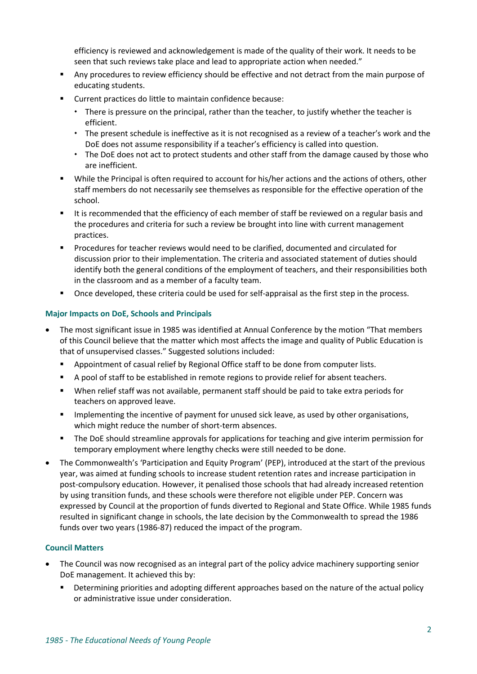efficiency is reviewed and acknowledgement is made of the quality of their work. It needs to be seen that such reviews take place and lead to appropriate action when needed."

- Any procedures to review efficiency should be effective and not detract from the main purpose of educating students.
- Current practices do little to maintain confidence because:
	- There is pressure on the principal, rather than the teacher, to justify whether the teacher is efficient.
	- \* The present schedule is ineffective as it is not recognised as a review of a teacher's work and the DoE does not assume responsibility if a teacher's efficiency is called into question.
	- The DoE does not act to protect students and other staff from the damage caused by those who are inefficient.
- While the Principal is often required to account for his/her actions and the actions of others, other staff members do not necessarily see themselves as responsible for the effective operation of the school.
- It is recommended that the efficiency of each member of staff be reviewed on a regular basis and the procedures and criteria for such a review be brought into line with current management practices.
- Procedures for teacher reviews would need to be clarified, documented and circulated for discussion prior to their implementation. The criteria and associated statement of duties should identify both the general conditions of the employment of teachers, and their responsibilities both in the classroom and as a member of a faculty team.
- Once developed, these criteria could be used for self-appraisal as the first step in the process.

# **Major Impacts on DoE, Schools and Principals**

- The most significant issue in 1985 was identified at Annual Conference by the motion "That members of this Council believe that the matter which most affects the image and quality of Public Education is that of unsupervised classes." Suggested solutions included:
	- Appointment of casual relief by Regional Office staff to be done from computer lists.
	- A pool of staff to be established in remote regions to provide relief for absent teachers.
	- When relief staff was not available, permanent staff should be paid to take extra periods for teachers on approved leave.
	- **■** Implementing the incentive of payment for unused sick leave, as used by other organisations, which might reduce the number of short-term absences.
	- The DoE should streamline approvals for applications for teaching and give interim permission for temporary employment where lengthy checks were still needed to be done.
- The Commonwealth's 'Participation and Equity Program' (PEP), introduced at the start of the previous year, was aimed at funding schools to increase student retention rates and increase participation in post-compulsory education. However, it penalised those schools that had already increased retention by using transition funds, and these schools were therefore not eligible under PEP. Concern was expressed by Council at the proportion of funds diverted to Regional and State Office. While 1985 funds resulted in significant change in schools, the late decision by the Commonwealth to spread the 1986 funds over two years (1986-87) reduced the impact of the program.

## **Council Matters**

- The Council was now recognised as an integral part of the policy advice machinery supporting senior DoE management. It achieved this by:
	- **•** Determining priorities and adopting different approaches based on the nature of the actual policy or administrative issue under consideration.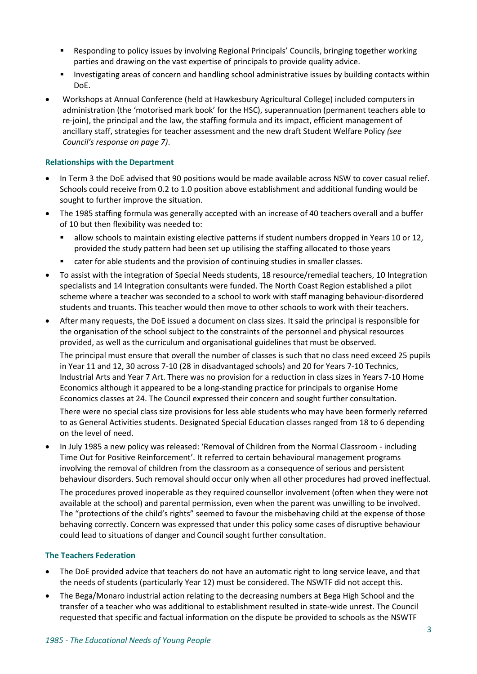- Responding to policy issues by involving Regional Principals' Councils, bringing together working parties and drawing on the vast expertise of principals to provide quality advice.
- Investigating areas of concern and handling school administrative issues by building contacts within DoE.
- Workshops at Annual Conference (held at Hawkesbury Agricultural College) included computers in administration (the 'motorised mark book' for the HSC), superannuation (permanent teachers able to re-join), the principal and the law, the staffing formula and its impact, efficient management of ancillary staff, strategies for teacher assessment and the new draft Student Welfare Policy *(see Council's response on page 7)*.

# **Relationships with the Department**

- In Term 3 the DoE advised that 90 positions would be made available across NSW to cover casual relief. Schools could receive from 0.2 to 1.0 position above establishment and additional funding would be sought to further improve the situation.
- The 1985 staffing formula was generally accepted with an increase of 40 teachers overall and a buffer of 10 but then flexibility was needed to:
	- allow schools to maintain existing elective patterns if student numbers dropped in Years 10 or 12, provided the study pattern had been set up utilising the staffing allocated to those years
	- cater for able students and the provision of continuing studies in smaller classes.
- To assist with the integration of Special Needs students, 18 resource/remedial teachers, 10 Integration specialists and 14 Integration consultants were funded. The North Coast Region established a pilot scheme where a teacher was seconded to a school to work with staff managing behaviour-disordered students and truants. This teacher would then move to other schools to work with their teachers.
- After many requests, the DoE issued a document on class sizes. It said the principal is responsible for the organisation of the school subject to the constraints of the personnel and physical resources provided, as well as the curriculum and organisational guidelines that must be observed.

The principal must ensure that overall the number of classes is such that no class need exceed 25 pupils in Year 11 and 12, 30 across 7-10 (28 in disadvantaged schools) and 20 for Years 7-10 Technics, Industrial Arts and Year 7 Art. There was no provision for a reduction in class sizes in Years 7-10 Home Economics although it appeared to be a long-standing practice for principals to organise Home Economics classes at 24. The Council expressed their concern and sought further consultation.

There were no special class size provisions for less able students who may have been formerly referred to as General Activities students. Designated Special Education classes ranged from 18 to 6 depending on the level of need.

• In July 1985 a new policy was released: 'Removal of Children from the Normal Classroom - including Time Out for Positive Reinforcement'. It referred to certain behavioural management programs involving the removal of children from the classroom as a consequence of serious and persistent behaviour disorders. Such removal should occur only when all other procedures had proved ineffectual. The procedures proved inoperable as they required counsellor involvement (often when they were not available at the school) and parental permission, even when the parent was unwilling to be involved.

The "protections of the child's rights" seemed to favour the misbehaving child at the expense of those behaving correctly. Concern was expressed that under this policy some cases of disruptive behaviour could lead to situations of danger and Council sought further consultation.

# **The Teachers Federation**

- The DoE provided advice that teachers do not have an automatic right to long service leave, and that the needs of students (particularly Year 12) must be considered. The NSWTF did not accept this.
- The Bega/Monaro industrial action relating to the decreasing numbers at Bega High School and the transfer of a teacher who was additional to establishment resulted in state-wide unrest. The Council requested that specific and factual information on the dispute be provided to schools as the NSWTF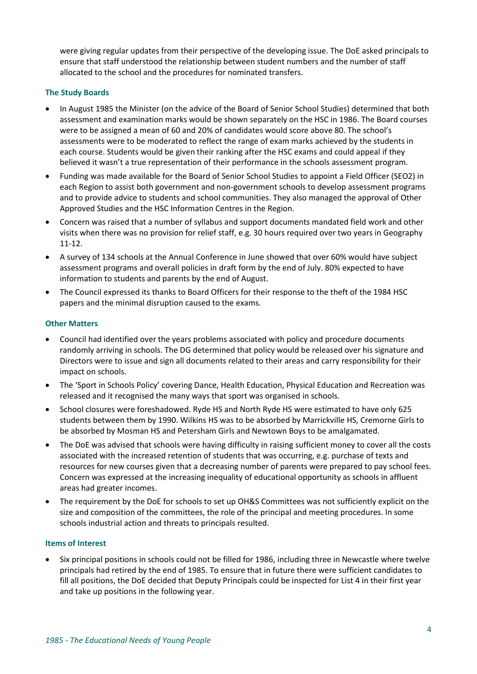were giving regular updates from their perspective of the developing issue. The DoE asked principals to ensure that staff understood the relationship between student numbers and the number of staff allocated to the school and the procedures for nominated transfers.

# **The Study Boards**

- In August 1985 the Minister (on the advice of the Board of Senior School Studies) determined that both assessment and examination marks would be shown separately on the HSC in 1986. The Board courses were to be assigned a mean of 60 and 20% of candidates would score above 80. The school's assessments were to be moderated to reflect the range of exam marks achieved by the students in each course. Students would be given their ranking after the HSC exams and could appeal if they believed it wasn't a true representation of their performance in the schools assessment program.
- Funding was made available for the Board of Senior School Studies to appoint a Field Officer (SEO2) in each Region to assist both government and non-government schools to develop assessment programs and to provide advice to students and school communities. They also managed the approval of Other Approved Studies and the HSC Information Centres in the Region.
- Concern was raised that a number of syllabus and support documents mandated field work and other visits when there was no provision for relief staff, e.g. 30 hours required over two years in Geography 11-12.
- A survey of 134 schools at the Annual Conference in June showed that over 60% would have subject assessment programs and overall policies in draft form by the end of July. 80% expected to have information to students and parents by the end of August.
- The Council expressed its thanks to Board Officers for their response to the theft of the 1984 HSC papers and the minimal disruption caused to the exams.

## **Other Matters**

- Council had identified over the years problems associated with policy and procedure documents randomly arriving in schools. The DG determined that policy would be released over his signature and Directors were to issue and sign all documents related to their areas and carry responsibility for their impact on schools.
- The 'Sport in Schools Policy' covering Dance, Health Education, Physical Education and Recreation was released and it recognised the many ways that sport was organised in schools.
- School closures were foreshadowed. Ryde HS and North Ryde HS were estimated to have only 625 students between them by 1990. Wilkins HS was to be absorbed by Marrickville HS, Cremorne Girls to be absorbed by Mosman HS and Petersham Girls and Newtown Boys to be amalgamated.
- The DoE was advised that schools were having difficulty in raising sufficient money to cover all the costs associated with the increased retention of students that was occurring, e.g. purchase of texts and resources for new courses given that a decreasing number of parents were prepared to pay school fees. Concern was expressed at the increasing inequality of educational opportunity as schools in affluent areas had greater incomes.
- The requirement by the DoE for schools to set up OH&S Committees was not sufficiently explicit on the size and composition of the committees, the role of the principal and meeting procedures. In some schools industrial action and threats to principals resulted.

## **Items of Interest**

• Six principal positions in schools could not be filled for 1986, including three in Newcastle where twelve principals had retired by the end of 1985. To ensure that in future there were sufficient candidates to fill all positions, the DoE decided that Deputy Principals could be inspected for List 4 in their first year and take up positions in the following year.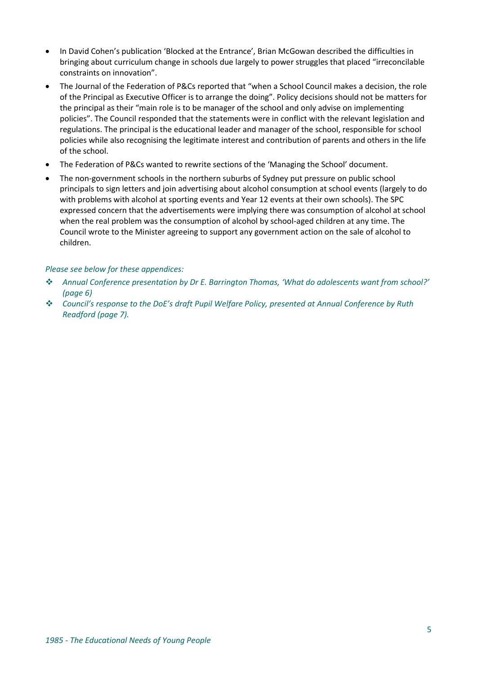- In David Cohen's publication 'Blocked at the Entrance', Brian McGowan described the difficulties in bringing about curriculum change in schools due largely to power struggles that placed "irreconcilable constraints on innovation".
- The Journal of the Federation of P&Cs reported that "when a School Council makes a decision, the role of the Principal as Executive Officer is to arrange the doing". Policy decisions should not be matters for the principal as their "main role is to be manager of the school and only advise on implementing policies". The Council responded that the statements were in conflict with the relevant legislation and regulations. The principal is the educational leader and manager of the school, responsible for school policies while also recognising the legitimate interest and contribution of parents and others in the life of the school.
- The Federation of P&Cs wanted to rewrite sections of the 'Managing the School' document.
- The non-government schools in the northern suburbs of Sydney put pressure on public school principals to sign letters and join advertising about alcohol consumption at school events (largely to do with problems with alcohol at sporting events and Year 12 events at their own schools). The SPC expressed concern that the advertisements were implying there was consumption of alcohol at school when the real problem was the consumption of alcohol by school-aged children at any time. The Council wrote to the Minister agreeing to support any government action on the sale of alcohol to children.

# *Please see below for these appendices:*

- ❖ *Annual Conference presentation by Dr E. Barrington Thomas, 'What do adolescents want from school?' (page 6)*
- ❖ *Council's response to the DoE's draft Pupil Welfare Policy, presented at Annual Conference by Ruth Readford (page 7).*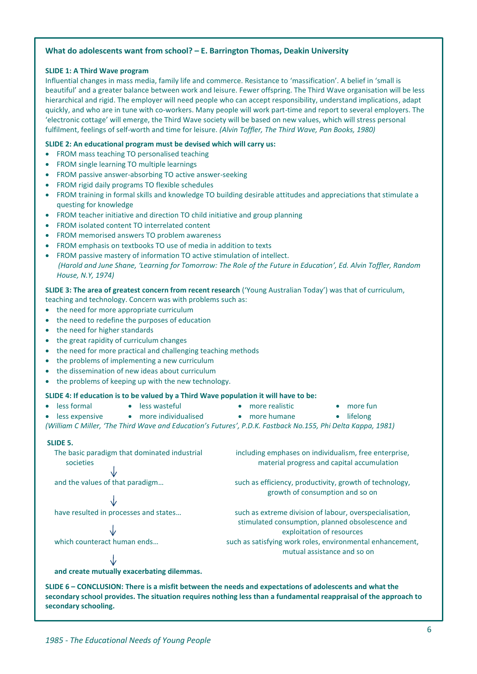## **What do adolescents want from school? – E. Barrington Thomas, Deakin University**

#### **SLIDE 1: A Third Wave program**

Influential changes in mass media, family life and commerce. Resistance to 'massification'. A belief in 'small is beautiful' and a greater balance between work and leisure. Fewer offspring. The Third Wave organisation will be less hierarchical and rigid. The employer will need people who can accept responsibility, understand implications, adapt quickly, and who are in tune with co-workers. Many people will work part-time and report to several employers. The 'electronic cottage' will emerge, the Third Wave society will be based on new values, which will stress personal fulfilment, feelings of self-worth and time for leisure. *(Alvin Toffler, The Third Wave, Pan Books, 1980)*

#### **SLIDE 2: An educational program must be devised which will carry us:**

- FROM mass teaching TO personalised teaching
- FROM single learning TO multiple learnings
- FROM passive answer-absorbing TO active answer-seeking
- FROM rigid daily programs TO flexible schedules
- FROM training in formal skills and knowledge TO building desirable attitudes and appreciations that stimulate a questing for knowledge
- FROM teacher initiative and direction TO child initiative and group planning
- FROM isolated content TO interrelated content
- FROM memorised answers TO problem awareness
- FROM emphasis on textbooks TO use of media in addition to texts
- FROM passive mastery of information TO active stimulation of intellect.  *(Harold and June Shane, 'Learning for Tomorrow: The Role of the Future in Education', Ed. Alvin Toffler, Random House, N.Y, 1974)*

#### **SLIDE 3: The area of greatest concern from recent research** ('Young Australian Today') was that of curriculum,

teaching and technology. Concern was with problems such as:

- the need for more appropriate curriculum
- the need to redefine the purposes of education
- the need for higher standards
- the great rapidity of curriculum changes
- the need for more practical and challenging teaching methods

• less wasteful

- the problems of implementing a new curriculum
- the dissemination of new ideas about curriculum
- the problems of keeping up with the new technology.

## **SLIDE 4: If education is to be valued by a Third Wave population it will have to be:**

- less formal
	- less expensive • more individualised
- more realistic
- more fun

• more humane • lifelong *(William C Miller, 'The Third Wave and Education's Futures', P.D.K. Fastback No.155, Phi Delta Kappa, 1981)*

#### **SLIDE 5.**

The basic paradigm that dominated industrial societies

# Jz

 $\downarrow$ 

including emphases on individualism, free enterprise, material progress and capital accumulation

and the values of that paradigm... such as efficiency, productivity, growth of technology, growth of consumption and so on

have resulted in processes and states... such as extreme division of labour, overspecialisation, stimulated consumption, planned obsolescence and exploitation of resources which counteract human ends... such as satisfying work roles, environmental enhancement, mutual assistance and so on

**and create mutually exacerbating dilemmas.**

**SLIDE 6 – CONCLUSION: There is a misfit between the needs and expectations of adolescents and what the secondary school provides. The situation requires nothing less than a fundamental reappraisal of the approach to secondary schooling.**